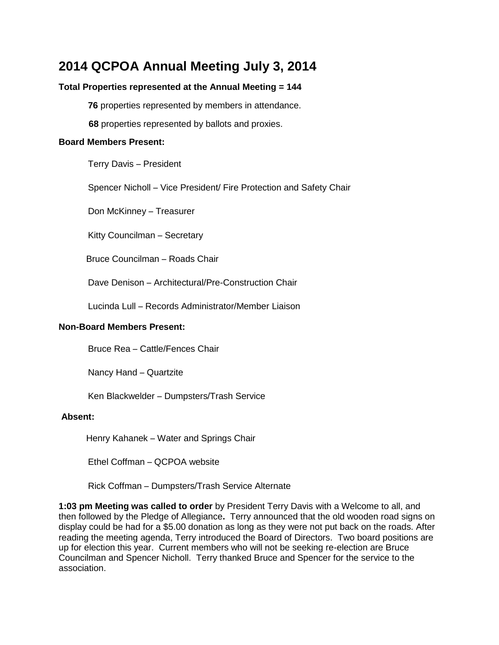# **2014 QCPOA Annual Meeting July 3, 2014**

#### **Total Properties represented at the Annual Meeting = 144**

**76** properties represented by members in attendance.

**68** properties represented by ballots and proxies.

#### **Board Members Present:**

Terry Davis – President

Spencer Nicholl – Vice President/ Fire Protection and Safety Chair

Don McKinney – Treasurer

Kitty Councilman – Secretary

Bruce Councilman – Roads Chair

Dave Denison – Architectural/Pre-Construction Chair

Lucinda Lull – Records Administrator/Member Liaison

#### **Non-Board Members Present:**

Bruce Rea – Cattle/Fences Chair

Nancy Hand – Quartzite

Ken Blackwelder – Dumpsters/Trash Service

#### **Absent:**

Henry Kahanek – Water and Springs Chair

Ethel Coffman – QCPOA website

Rick Coffman – Dumpsters/Trash Service Alternate

**1:03 pm Meeting was called to order** by President Terry Davis with a Welcome to all, and then followed by the Pledge of Allegiance**.** Terry announced that the old wooden road signs on display could be had for a \$5.00 donation as long as they were not put back on the roads. After reading the meeting agenda, Terry introduced the Board of Directors. Two board positions are up for election this year. Current members who will not be seeking re-election are Bruce Councilman and Spencer Nicholl. Terry thanked Bruce and Spencer for the service to the association.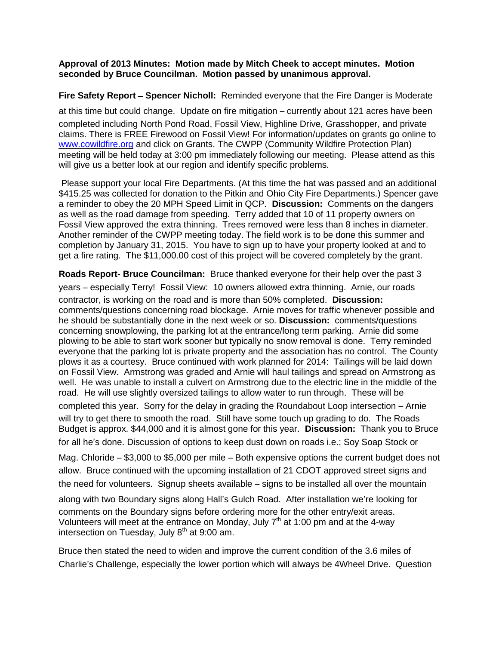#### **Approval of 2013 Minutes: Motion made by Mitch Cheek to accept minutes. Motion seconded by Bruce Councilman. Motion passed by unanimous approval.**

**Fire Safety Report** – **Spencer Nicholl:** Reminded everyone that the Fire Danger is Moderate

at this time but could change. Update on fire mitigation – currently about 121 acres have been completed including North Pond Road, Fossil View, Highline Drive, Grasshopper, and private claims. There is FREE Firewood on Fossil View! For information/updates on grants go online to [www.cowildfire.org](http://www.cowildfire.org/) and click on Grants. The CWPP (Community Wildfire Protection Plan) meeting will be held today at 3:00 pm immediately following our meeting. Please attend as this will give us a better look at our region and identify specific problems.

Please support your local Fire Departments. (At this time the hat was passed and an additional \$415.25 was collected for donation to the Pitkin and Ohio City Fire Departments.) Spencer gave a reminder to obey the 20 MPH Speed Limit in QCP. **Discussion:** Comments on the dangers as well as the road damage from speeding. Terry added that 10 of 11 property owners on Fossil View approved the extra thinning. Trees removed were less than 8 inches in diameter. Another reminder of the CWPP meeting today. The field work is to be done this summer and completion by January 31, 2015. You have to sign up to have your property looked at and to get a fire rating. The \$11,000.00 cost of this project will be covered completely by the grant.

**Roads Report- Bruce Councilman:** Bruce thanked everyone for their help over the past 3

years – especially Terry! Fossil View: 10 owners allowed extra thinning. Arnie, our roads contractor, is working on the road and is more than 50% completed. **Discussion:**  comments/questions concerning road blockage. Arnie moves for traffic whenever possible and he should be substantially done in the next week or so. **Discussion:** comments/questions concerning snowplowing, the parking lot at the entrance/long term parking. Arnie did some plowing to be able to start work sooner but typically no snow removal is done. Terry reminded everyone that the parking lot is private property and the association has no control. The County plows it as a courtesy. Bruce continued with work planned for 2014: Tailings will be laid down on Fossil View. Armstrong was graded and Arnie will haul tailings and spread on Armstrong as well. He was unable to install a culvert on Armstrong due to the electric line in the middle of the road. He will use slightly oversized tailings to allow water to run through. These will be

completed this year. Sorry for the delay in grading the Roundabout Loop intersection – Arnie will try to get there to smooth the road. Still have some touch up grading to do. The Roads Budget is approx. \$44,000 and it is almost gone for this year. **Discussion:** Thank you to Bruce for all he's done. Discussion of options to keep dust down on roads i.e.; Soy Soap Stock or

Mag. Chloride – \$3,000 to \$5,000 per mile – Both expensive options the current budget does not allow. Bruce continued with the upcoming installation of 21 CDOT approved street signs and the need for volunteers. Signup sheets available – signs to be installed all over the mountain

along with two Boundary signs along Hall's Gulch Road. After installation we're looking for comments on the Boundary signs before ordering more for the other entry/exit areas. Volunteers will meet at the entrance on Monday, July  $7<sup>th</sup>$  at 1:00 pm and at the 4-way intersection on Tuesday, July  $8<sup>th</sup>$  at 9:00 am.

Bruce then stated the need to widen and improve the current condition of the 3.6 miles of Charlie's Challenge, especially the lower portion which will always be 4Wheel Drive. Question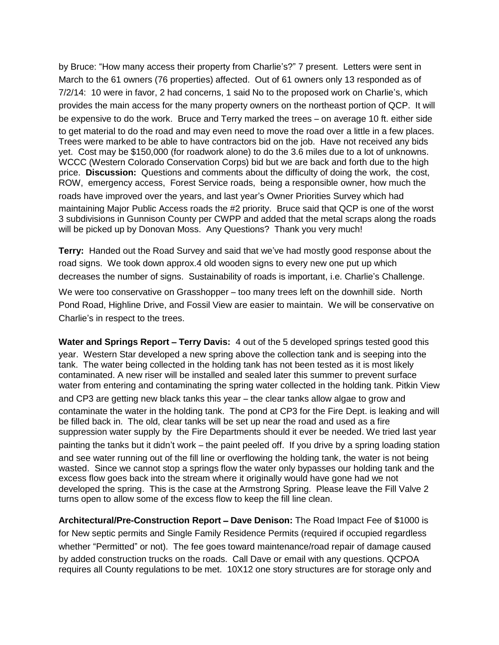by Bruce: "How many access their property from Charlie's?" 7 present. Letters were sent in March to the 61 owners (76 properties) affected. Out of 61 owners only 13 responded as of 7/2/14: 10 were in favor, 2 had concerns, 1 said No to the proposed work on Charlie's, which provides the main access for the many property owners on the northeast portion of QCP. It will be expensive to do the work. Bruce and Terry marked the trees – on average 10 ft. either side to get material to do the road and may even need to move the road over a little in a few places. Trees were marked to be able to have contractors bid on the job. Have not received any bids yet. Cost may be \$150,000 (for roadwork alone) to do the 3.6 miles due to a lot of unknowns. WCCC (Western Colorado Conservation Corps) bid but we are back and forth due to the high price. **Discussion:** Questions and comments about the difficulty of doing the work, the cost, ROW, emergency access, Forest Service roads, being a responsible owner, how much the roads have improved over the years, and last year's Owner Priorities Survey which had maintaining Major Public Access roads the #2 priority. Bruce said that QCP is one of the worst 3 subdivisions in Gunnison County per CWPP and added that the metal scraps along the roads will be picked up by Donovan Moss. Any Questions? Thank you very much!

**Terry:** Handed out the Road Survey and said that we've had mostly good response about the road signs. We took down approx.4 old wooden signs to every new one put up which decreases the number of signs. Sustainability of roads is important, i.e. Charlie's Challenge.

We were too conservative on Grasshopper – too many trees left on the downhill side. North Pond Road, Highline Drive, and Fossil View are easier to maintain. We will be conservative on Charlie's in respect to the trees.

**Water and Springs Report** – **Terry Davis:** 4 out of the 5 developed springs tested good this year. Western Star developed a new spring above the collection tank and is seeping into the tank. The water being collected in the holding tank has not been tested as it is most likely contaminated. A new riser will be installed and sealed later this summer to prevent surface water from entering and contaminating the spring water collected in the holding tank. Pitkin View and CP3 are getting new black tanks this year – the clear tanks allow algae to grow and contaminate the water in the holding tank. The pond at CP3 for the Fire Dept. is leaking and will be filled back in. The old, clear tanks will be set up near the road and used as a fire suppression water supply by the Fire Departments should it ever be needed. We tried last year painting the tanks but it didn't work – the paint peeled off. If you drive by a spring loading station and see water running out of the fill line or overflowing the holding tank, the water is not being wasted. Since we cannot stop a springs flow the water only bypasses our holding tank and the excess flow goes back into the stream where it originally would have gone had we not developed the spring. This is the case at the Armstrong Spring. Please leave the Fill Valve 2 turns open to allow some of the excess flow to keep the fill line clean.

**Architectural/Pre-Construction Report** – **Dave Denison:** The Road Impact Fee of \$1000 is for New septic permits and Single Family Residence Permits (required if occupied regardless whether "Permitted" or not). The fee goes toward maintenance/road repair of damage caused by added construction trucks on the roads. Call Dave or email with any questions. QCPOA requires all County regulations to be met. 10X12 one story structures are for storage only and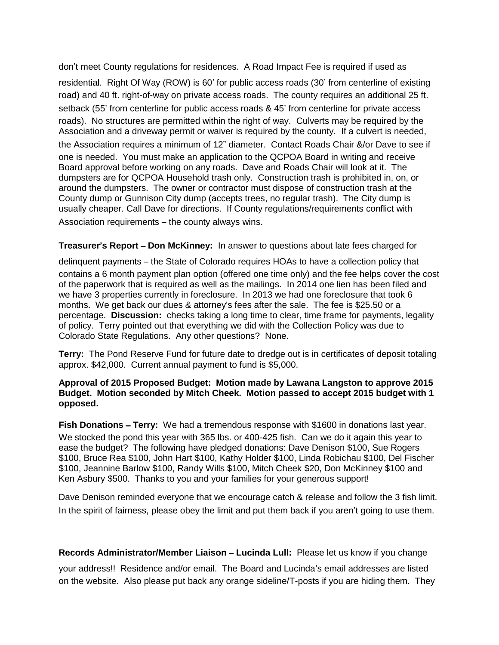don't meet County regulations for residences. A Road Impact Fee is required if used as residential. Right Of Way (ROW) is 60' for public access roads (30' from centerline of existing road) and 40 ft. right-of-way on private access roads. The county requires an additional 25 ft. setback (55' from centerline for public access roads & 45' from centerline for private access roads). No structures are permitted within the right of way. Culverts may be required by the Association and a driveway permit or waiver is required by the county. If a culvert is needed, the Association requires a minimum of 12" diameter. Contact Roads Chair &/or Dave to see if one is needed. You must make an application to the QCPOA Board in writing and receive Board approval before working on any roads. Dave and Roads Chair will look at it. The dumpsters are for QCPOA Household trash only. Construction trash is prohibited in, on, or around the dumpsters. The owner or contractor must dispose of construction trash at the County dump or Gunnison City dump (accepts trees, no regular trash). The City dump is usually cheaper. Call Dave for directions. If County regulations/requirements conflict with Association requirements – the county always wins.

**Treasurer**'**s Report** – **Don McKinney:** In answer to questions about late fees charged for

delinquent payments – the State of Colorado requires HOAs to have a collection policy that contains a 6 month payment plan option (offered one time only) and the fee helps cover the cost of the paperwork that is required as well as the mailings. In 2014 one lien has been filed and we have 3 properties currently in foreclosure. In 2013 we had one foreclosure that took 6 months. We get back our dues & attorney's fees after the sale. The fee is \$25.50 or a percentage. **Discussion:** checks taking a long time to clear, time frame for payments, legality of policy. Terry pointed out that everything we did with the Collection Policy was due to Colorado State Regulations. Any other questions? None.

**Terry:** The Pond Reserve Fund for future date to dredge out is in certificates of deposit totaling approx. \$42,000. Current annual payment to fund is \$5,000.

#### **Approval of 2015 Proposed Budget: Motion made by Lawana Langston to approve 2015 Budget. Motion seconded by Mitch Cheek. Motion passed to accept 2015 budget with 1 opposed.**

**Fish Donations** – **Terry:** We had a tremendous response with \$1600 in donations last year. We stocked the pond this year with 365 lbs. or 400-425 fish. Can we do it again this year to ease the budget? The following have pledged donations: Dave Denison \$100, Sue Rogers \$100, Bruce Rea \$100, John Hart \$100, Kathy Holder \$100, Linda Robichau \$100, Del Fischer \$100, Jeannine Barlow \$100, Randy Wills \$100, Mitch Cheek \$20, Don McKinney \$100 and Ken Asbury \$500. Thanks to you and your families for your generous support!

Dave Denison reminded everyone that we encourage catch & release and follow the 3 fish limit. In the spirit of fairness, please obey the limit and put them back if you aren't going to use them.

**Records Administrator/Member Liaison** – **Lucinda Lull:** Please let us know if you change your address!! Residence and/or email. The Board and Lucinda's email addresses are listed on the website. Also please put back any orange sideline/T-posts if you are hiding them. They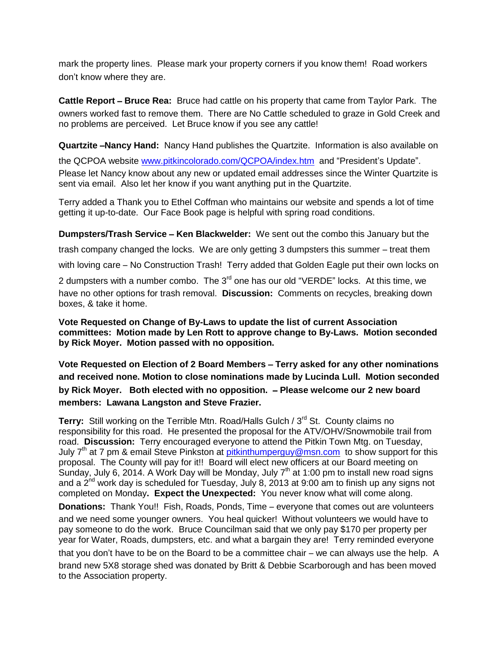mark the property lines. Please mark your property corners if you know them! Road workers don't know where they are.

**Cattle Report – Bruce Rea:** Bruce had cattle on his property that came from Taylor Park. The owners worked fast to remove them. There are No Cattle scheduled to graze in Gold Creek and no problems are perceived. Let Bruce know if you see any cattle!

**Quartzite** –**Nancy Hand:** Nancy Hand publishes the Quartzite. Information is also available on

the QCPOA website [www.pitkincolorado.com/QCPOA/index.htm](http://www.pitkincolorado.com/QCPOA/index.htm) and "President's Update". Please let Nancy know about any new or updated email addresses since the Winter Quartzite is sent via email. Also let her know if you want anything put in the Quartzite.

Terry added a Thank you to Ethel Coffman who maintains our website and spends a lot of time getting it up-to-date. Our Face Book page is helpful with spring road conditions.

**Dumpsters/Trash Service** – **Ken Blackwelder:** We sent out the combo this January but the

trash company changed the locks. We are only getting 3 dumpsters this summer – treat them

with loving care – No Construction Trash! Terry added that Golden Eagle put their own locks on

2 dumpsters with a number combo. The 3<sup>rd</sup> one has our old "VERDE" locks. At this time, we have no other options for trash removal. **Discussion:** Comments on recycles, breaking down boxes, & take it home.

**Vote Requested on Change of By-Laws to update the list of current Association committees: Motion made by Len Rott to approve change to By-Laws. Motion seconded by Rick Moyer. Motion passed with no opposition.**

**Vote Requested on Election of 2 Board Members** – **Terry asked for any other nominations and received none. Motion to close nominations made by Lucinda Lull. Motion seconded by Rick Moyer. Both elected with no opposition.** – **Please welcome our 2 new board members: Lawana Langston and Steve Frazier.**

**Terry:** Still working on the Terrible Mtn. Road/Halls Gulch / 3<sup>rd</sup> St. County claims no responsibility for this road. He presented the proposal for the ATV/OHV/Snowmobile trail from road. **Discussion:** Terry encouraged everyone to attend the Pitkin Town Mtg. on Tuesday, July  $7<sup>th</sup>$  at 7 pm & email Steve Pinkston at [pitkinthumperguy@msn.com](mailto:pitkinthumperguy@msn.com) to show support for this proposal. The County will pay for it!! Board will elect new officers at our Board meeting on Sunday, July 6, 2014. A Work Day will be Monday, July 7<sup>th</sup> at 1:00 pm to install new road signs and a  $2^{nd}$  work day is scheduled for Tuesday, July 8, 2013 at 9:00 am to finish up any signs not completed on Monday**. Expect the Unexpected:** You never know what will come along.

**Donations:** Thank You!! Fish, Roads, Ponds, Time – everyone that comes out are volunteers and we need some younger owners. You heal quicker! Without volunteers we would have to pay someone to do the work. Bruce Councilman said that we only pay \$170 per property per year for Water, Roads, dumpsters, etc. and what a bargain they are! Terry reminded everyone

that you don't have to be on the Board to be a committee chair – we can always use the help. A brand new 5X8 storage shed was donated by Britt & Debbie Scarborough and has been moved to the Association property.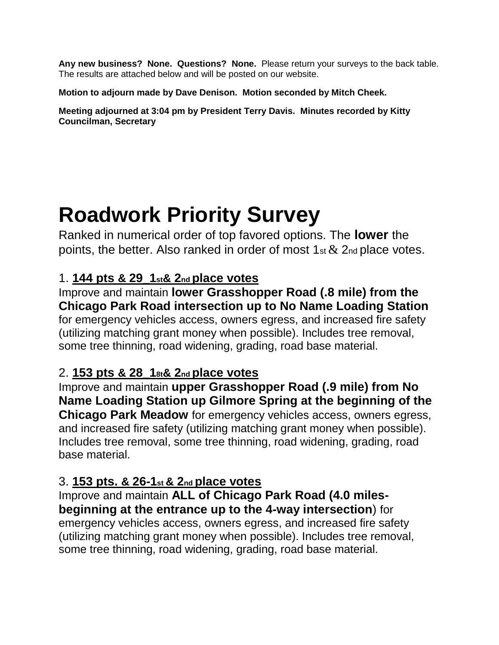**Any new business? None. Questions? None.** Please return your surveys to the back table. The results are attached below and will be posted on our website.

**Motion to adjourn made by Dave Denison. Motion seconded by Mitch Cheek.**

**Meeting adjourned at 3:04 pm by President Terry Davis. Minutes recorded by Kitty Councilman, Secretary**

# **Roadwork Priority Survey**

Ranked in numerical order of top favored options. The **lower** the points, the better. Also ranked in order of most  $1$ <sub>st</sub>  $\&$  2<sub>nd</sub> place votes.

## 1. **144 pts & 29\_1st& 2nd place votes**

Improve and maintain **lower Grasshopper Road (.8 mile) from the Chicago Park Road intersection up to No Name Loading Station** for emergency vehicles access, owners egress, and increased fire safety (utilizing matching grant money when possible). Includes tree removal, some tree thinning, road widening, grading, road base material.

# 2. **153 pts & 28\_18t& 2nd place votes**

Improve and maintain **upper Grasshopper Road (.9 mile) from No Name Loading Station up Gilmore Spring at the beginning of the Chicago Park Meadow** for emergency vehicles access, owners egress, and increased fire safety (utilizing matching grant money when possible). Includes tree removal, some tree thinning, road widening, grading, road base material.

## 3. **153 pts. & 26-1st & 2nd place votes**

## Improve and maintain **ALL of Chicago Park Road (4.0 milesbeginning at the entrance up to the 4-way intersection**) for

emergency vehicles access, owners egress, and increased fire safety (utilizing matching grant money when possible). Includes tree removal, some tree thinning, road widening, grading, road base material.